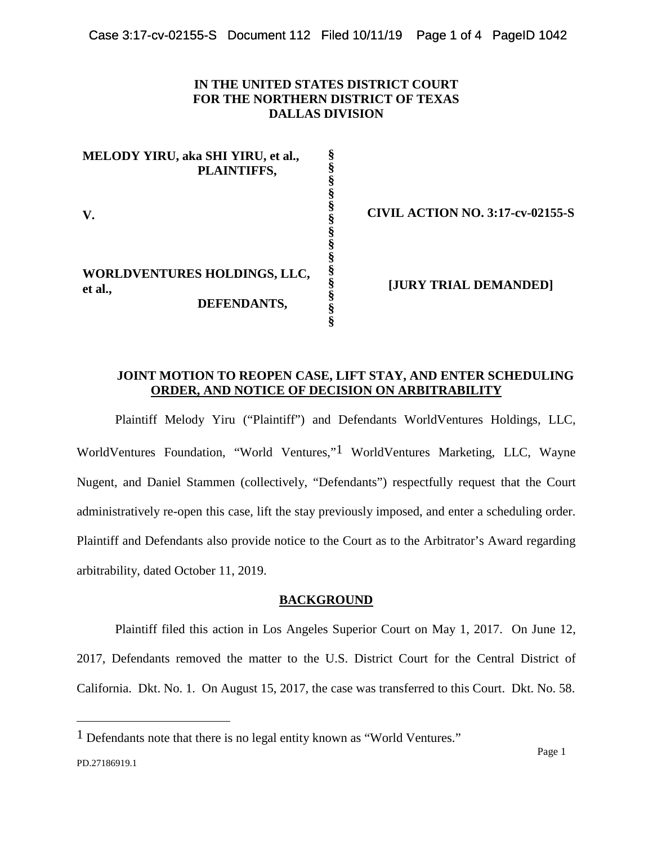## **IN THE UNITED STATES DISTRICT COURT FOR THE NORTHERN DISTRICT OF TEXAS DALLAS DIVISION**

**MELODY YIRU, aka SHI YIRU, et al., PLAINTIFFS, V. WORLDVENTURES HOLDINGS, LLC, et al., DEFENDANTS, § § § § § § § § § § § § § §** 

**CIVIL ACTION NO. 3:17-cv-02155-S** 

**[JURY TRIAL DEMANDED]** 

# **JOINT MOTION TO REOPEN CASE, LIFT STAY, AND ENTER SCHEDULING ORDER, AND NOTICE OF DECISION ON ARBITRABILITY**

Plaintiff Melody Yiru ("Plaintiff") and Defendants WorldVentures Holdings, LLC, WorldVentures Foundation, "World Ventures,["1](#page-0-0) WorldVentures Marketing, LLC, Wayne Nugent, and Daniel Stammen (collectively, "Defendants") respectfully request that the Court administratively re-open this case, lift the stay previously imposed, and enter a scheduling order. Plaintiff and Defendants also provide notice to the Court as to the Arbitrator's Award regarding arbitrability, dated October 11, 2019.

#### **BACKGROUND**

Plaintiff filed this action in Los Angeles Superior Court on May 1, 2017. On June 12, 2017, Defendants removed the matter to the U.S. District Court for the Central District of California. Dkt. No. 1. On August 15, 2017, the case was transferred to this Court. Dkt. No. 58.

<span id="page-0-0"></span><sup>1</sup> Defendants note that there is no legal entity known as "World Ventures."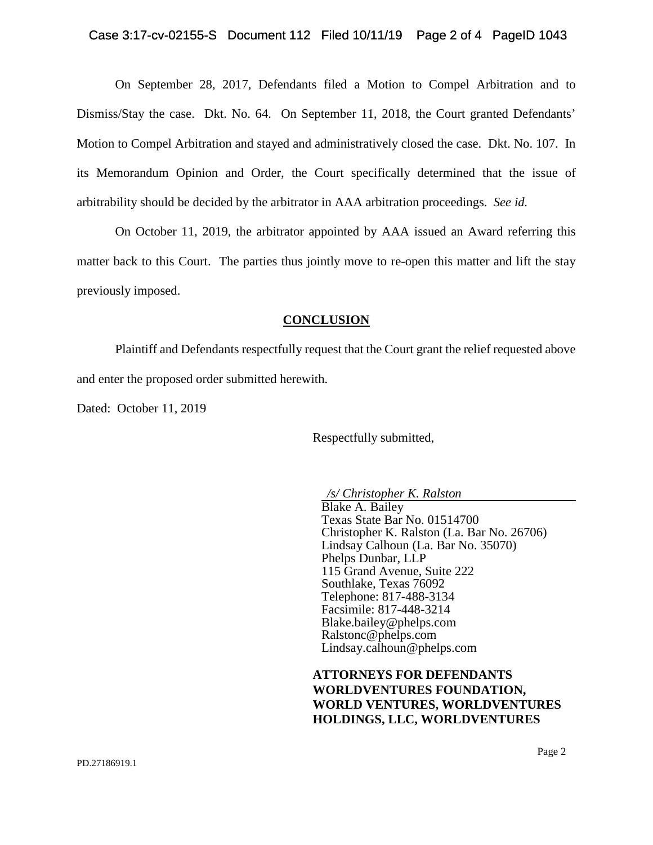On September 28, 2017, Defendants filed a Motion to Compel Arbitration and to Dismiss/Stay the case. Dkt. No. 64. On September 11, 2018, the Court granted Defendants' Motion to Compel Arbitration and stayed and administratively closed the case. Dkt. No. 107. In its Memorandum Opinion and Order, the Court specifically determined that the issue of arbitrability should be decided by the arbitrator in AAA arbitration proceedings. *See id.* 

On October 11, 2019, the arbitrator appointed by AAA issued an Award referring this matter back to this Court. The parties thus jointly move to re-open this matter and lift the stay previously imposed.

#### **CONCLUSION**

Plaintiff and Defendants respectfully request that the Court grant the relief requested above and enter the proposed order submitted herewith.

Dated: October 11, 2019

Respectfully submitted,

*/s/ Christopher K. Ralston*

Blake A. Bailey Texas State Bar No. 01514700 Christopher K. Ralston (La. Bar No. 26706) Lindsay Calhoun (La. Bar No. 35070) Phelps Dunbar, LLP 115 Grand Avenue, Suite 222 Southlake, Texas 76092 Telephone: 817-488-3134 Facsimile: 817-448-3214 Blake.bailey@phelps.com Ralstonc@phelps.com Lindsay.calhoun@phelps.com

**ATTORNEYS FOR DEFENDANTS WORLDVENTURES FOUNDATION, WORLD VENTURES, WORLDVENTURES HOLDINGS, LLC, WORLDVENTURES**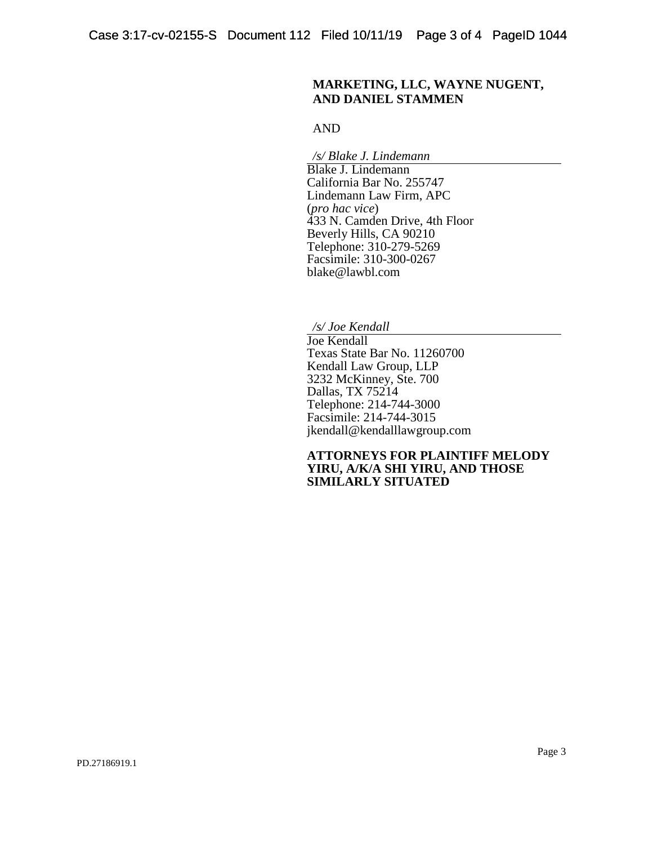### **MARKETING, LLC, WAYNE NUGENT, AND DANIEL STAMMEN**

AND

*/s/ Blake J. Lindemann*

Blake J. Lindemann California Bar No. 255747 Lindemann Law Firm, APC (*pro hac vice*) 433 N. Camden Drive, 4th Floor Beverly Hills, CA 90210 Telephone: 310-279-5269 Facsimile: 310-300-0267 blake@lawbl.com

*/s/ Joe Kendall*

Joe Kendall Texas State Bar No. 11260700 Kendall Law Group, LLP 3232 McKinney, Ste. 700 Dallas, TX 75214 Telephone: 214-744-3000 Facsimile: 214-744-3015 jkendall@kendalllawgroup.com

**ATTORNEYS FOR PLAINTIFF MELODY YIRU, A/K/A SHI YIRU, AND THOSE SIMILARLY SITUATED**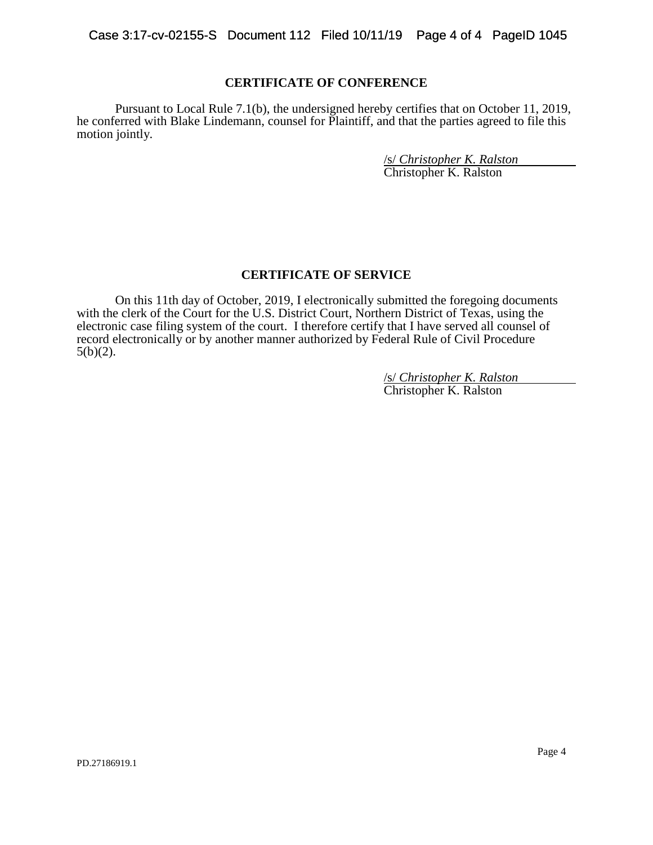### **CERTIFICATE OF CONFERENCE**

Pursuant to Local Rule 7.1(b), the undersigned hereby certifies that on October 11, 2019, he conferred with Blake Lindemann, counsel for Plaintiff, and that the parties agreed to file this motion jointly.

> /s/ *Christopher K. Ralston* Christopher K. Ralston

### **CERTIFICATE OF SERVICE**

On this 11th day of October, 2019, I electronically submitted the foregoing documents with the clerk of the Court for the U.S. District Court, Northern District of Texas, using the electronic case filing system of the court. I therefore certify that I have served all counsel of record electronically or by another manner authorized by Federal Rule of Civil Procedure  $5(b)(2)$ .

> /s/ *Christopher K. Ralston* Christopher K. Ralston